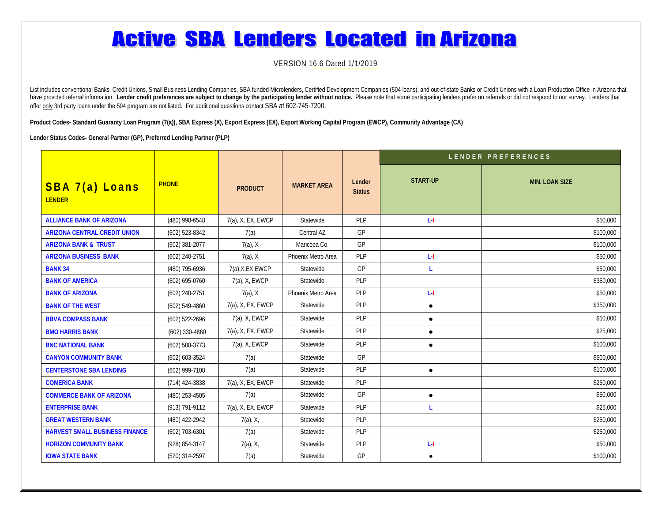## **Active SBA Lenders Located in Arizona**

VERSION 16.6 Dated 1/1/2019

List includes conventional Banks, Credit Unions, Small Business Lending Companies, SBA funded Microlenders, Certified Development Companies (504 Ioans), and out-of-state Banks or Credit Unions with a Loan Production Office have provided referral information. Lender credit preferences are subject to change by the participating lender without notice. Please note that some participating lenders prefer no referrals or did not respond to our surv offer only 3rd party loans under the 504 program are not listed. For additional questions contact SBA at 602-745-7200.

**Product Codes- Standard Guaranty Loan Program (7(a)), SBA Express (X), Export Express (EX), Export Working Capital Program (EWCP), Community Advantage (CA)**

**Lender Status Codes- General Partner (GP), Preferred Lending Partner (PLP)**

|                                       |                    |                   |                    |                         | LENDER PREFERENCES |                       |  |
|---------------------------------------|--------------------|-------------------|--------------------|-------------------------|--------------------|-----------------------|--|
| SBA 7(a) Loans<br><b>LENDER</b>       | <b>PHONE</b>       | <b>PRODUCT</b>    | <b>MARKET AREA</b> | Lender<br><b>Status</b> | <b>START-UP</b>    | <b>MIN. LOAN SIZE</b> |  |
| <b>ALLIANCE BANK OF ARIZONA</b>       | (480) 998-6548     | 7(a), X, EX, EWCP | Statewide          | PLP                     | L-I                | \$50,000              |  |
| <b>ARIZONA CENTRAL CREDIT UNION</b>   | $(602)$ 523-8342   | 7(a)              | Central AZ         | GP                      |                    | \$100,000             |  |
| <b>ARIZONA BANK &amp; TRUST</b>       | (602) 381-2077     | $7(a)$ , X        | Maricopa Co.       | GP                      |                    | \$100,000             |  |
| <b>ARIZONA BUSINESS BANK</b>          | (602) 240-2751     | $7(a)$ , X        | Phoenix Metro Area | PLP                     | L-I                | \$50,000              |  |
| <b>BANK 34</b>                        | (480) 795-6936     | 7(a), X, EX, EWCP | Statewide          | GP                      | L                  | \$50,000              |  |
| <b>BANK OF AMERICA</b>                | $(602) 695 - 0760$ | $7(a)$ , X, EWCP  | Statewide          | PLP                     |                    | \$350,000             |  |
| <b>BANK OF ARIZONA</b>                | (602) 240-2751     | $7(a)$ , X        | Phoenix Metro Area | PLP                     | L-I                | \$50,000              |  |
| <b>BANK OF THE WEST</b>               | $(602) 549 - 4860$ | 7(a), X, EX, EWCP | Statewide          | <b>PLP</b>              | $\bullet$          | \$350,000             |  |
| <b>BBVA COMPASS BANK</b>              | (602) 522-2696     | $7(a)$ , X, EWCP  | Statewide          | PLP                     | $\bullet$          | \$10,000              |  |
| <b>BMO HARRIS BANK</b>                | $(602)$ 330-4860   | 7(a), X, EX, EWCP | Statewide          | PLP                     | $\bullet$          | \$25,000              |  |
| <b>BNC NATIONAL BANK</b>              | $(602)$ 508-3773   | $7(a)$ , X, EWCP  | Statewide          | PLP                     | $\bullet$          | \$100,000             |  |
| <b>CANYON COMMUNITY BANK</b>          | $(602) 603 - 3524$ | 7(a)              | Statewide          | GP                      |                    | \$500,000             |  |
| <b>CENTERSTONE SBA LENDING</b>        | (602) 999-7108     | 7(a)              | Statewide          | PLP                     | $\bullet$          | \$100,000             |  |
| <b>COMERICA BANK</b>                  | $(714)$ 424-3838   | 7(a), X, EX, EWCP | Statewide          | PLP                     |                    | \$250,000             |  |
| <b>COMMERCE BANK OF ARIZONA</b>       | (480) 253-4505     | 7(a)              | Statewide          | GP                      | $\bullet$          | \$50,000              |  |
| <b>ENTERPRISE BANK</b>                | (913) 791-9112     | 7(a), X, EX, EWCP | Statewide          | PLP                     | L                  | \$25,000              |  |
| <b>GREAT WESTERN BANK</b>             | (480) 422-2942     | $7(a)$ , X,       | Statewide          | PLP                     |                    | \$250,000             |  |
| <b>HARVEST SMALL BUSINESS FINANCE</b> | (602) 703-6301     | 7(a)              | Statewide          | PLP                     |                    | \$250,000             |  |
| <b>HORIZON COMMUNITY BANK</b>         | (928) 854-3147     | 7(a), X,          | Statewide          | PLP                     | L-I                | \$50,000              |  |
| <b>IOWA STATE BANK</b>                | (520) 314-2597     | 7(a)              | Statewide          | GP                      | $\bullet$          | \$100,000             |  |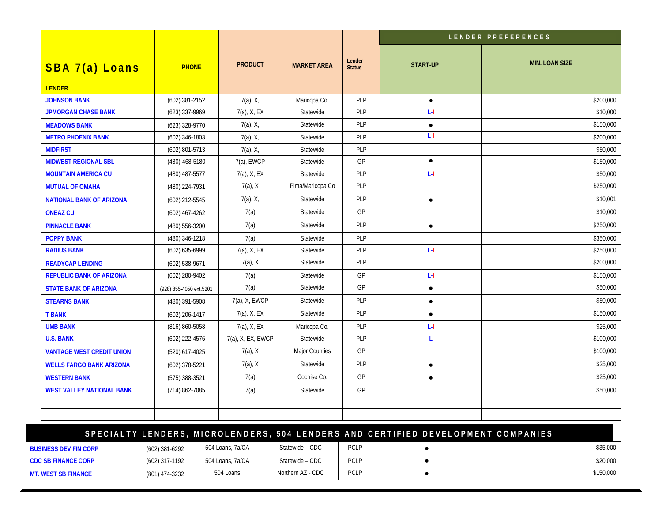|                                  |                         |                   |                    |                         | LENDER PREFERENCES                                                               |                       |
|----------------------------------|-------------------------|-------------------|--------------------|-------------------------|----------------------------------------------------------------------------------|-----------------------|
| SBA 7(a) Loans<br><b>LENDER</b>  | <b>PHONE</b>            | <b>PRODUCT</b>    | <b>MARKET AREA</b> | Lender<br><b>Status</b> | <b>START-UP</b>                                                                  | <b>MIN. LOAN SIZE</b> |
| <b>JOHNSON BANK</b>              | (602) 381-2152          | $7(a)$ , X,       | Maricopa Co.       | PLP                     | $\bullet$                                                                        | \$200,000             |
| <b>JPMORGAN CHASE BANK</b>       | (623) 337-9969          | 7(a), X, EX       | Statewide          | PLP                     | L-I                                                                              | \$10,000              |
| <b>MEADOWS BANK</b>              | (623) 328-9770          | $7(a)$ , X,       | Statewide          | <b>PLP</b>              | $\bullet$                                                                        | \$150,000             |
| <b>METRO PHOENIX BANK</b>        | (602) 346-1803          | $7(a)$ , X,       | Statewide          | PLP                     | L-I                                                                              | \$200,000             |
| <b>MIDFIRST</b>                  | (602) 801-5713          | $7(a)$ , X,       | Statewide          | PLP                     |                                                                                  | \$50,000              |
| <b>MIDWEST REGIONAL SBL</b>      | $(480) - 468 - 5180$    | 7(a), EWCP        | Statewide          | GP                      | $\bullet$                                                                        | \$150,000             |
| <b>MOUNTAIN AMERICA CU</b>       | (480) 487-5577          | 7(a), X, EX       | Statewide          | PLP                     | L-I                                                                              | \$50,000              |
| <b>MUTUAL OF OMAHA</b>           | (480) 224-7931          | $7(a)$ , X        | Pima/Maricopa Co   | <b>PLP</b>              |                                                                                  | \$250,000             |
| <b>NATIONAL BANK OF ARIZONA</b>  | (602) 212-5545          | $7(a)$ , X,       | Statewide          | PLP                     | $\bullet$                                                                        | \$10,001              |
| <b>ONEAZ CU</b>                  | $(602)$ 467-4262        | 7(a)              | Statewide          | GP                      |                                                                                  | \$10,000              |
| <b>PINNACLE BANK</b>             | (480) 556-3200          | 7(a)              | Statewide          | PLP                     | $\bullet$                                                                        | \$250,000             |
| <b>POPPY BANK</b>                | (480) 346-1218          | 7(a)              | Statewide          | PLP                     |                                                                                  | \$350,000             |
| <b>RADIUS BANK</b>               | (602) 635-6999          | $7(a)$ , X, EX    | Statewide          | PLP                     | L-I                                                                              | \$250,000             |
| <b>READYCAP LENDING</b>          | $(602)$ 538-9671        | $7(a)$ , X        | Statewide          | PLP                     |                                                                                  | \$200,000             |
| <b>REPUBLIC BANK OF ARIZONA</b>  | $(602)$ 280-9402        | 7(a)              | Statewide          | GP                      | L-I                                                                              | \$150,000             |
| <b>STATE BANK OF ARIZONA</b>     | (928) 855-4050 ext.5201 | 7(a)              | Statewide          | GP                      | $\bullet$                                                                        | \$50,000              |
| <b>STEARNS BANK</b>              | (480) 391-5908          | 7(a), X, EWCP     | Statewide          | PLP                     | $\bullet$                                                                        | \$50,000              |
| <b>T BANK</b>                    | $(602)$ 206-1417        | $7(a)$ , X, EX    | Statewide          | PLP                     | $\bullet$                                                                        | \$150,000             |
| <b>UMB BANK</b>                  | (816) 860-5058          | $7(a)$ , X, EX    | Maricopa Co.       | <b>PLP</b>              | LЧ                                                                               | \$25,000              |
| <b>U.S. BANK</b>                 | (602) 222-4576          | 7(a), X, EX, EWCP | Statewide          | PLP                     | L                                                                                | \$100,000             |
| <b>VANTAGE WEST CREDIT UNION</b> | (520) 617-4025          | $7(a)$ , X        | Major Counties     | GP                      |                                                                                  | \$100,000             |
| <b>WELLS FARGO BANK ARIZONA</b>  | (602) 378-5221          | $7(a)$ , X        | Statewide          | PLP                     | $\bullet$                                                                        | \$25,000              |
| <b>WESTERN BANK</b>              | (575) 388-3521          | 7(a)              | Cochise Co.        | GP                      | $\bullet$                                                                        | \$25,000              |
| <b>WEST VALLEY NATIONAL BANK</b> | (714) 862-7085          | 7(a)              | Statewide          | GP                      |                                                                                  | \$50,000              |
|                                  |                         |                   |                    |                         | SPECIALTY LENDERS, MICROLENDERS, 504 LENDERS AND CERTIFIED DEVELOPMENT COMPANIES |                       |

| <b>BUSINESS DEV FIN CORP</b> | $(602)$ 381-6292 | 504 Loans, 7a/CA | Statewide - CDC   | PCLP        | \$35,000  |
|------------------------------|------------------|------------------|-------------------|-------------|-----------|
| <b>CDC SB FINANCE CORP</b>   | (602) 317-1192   | 504 Loans, 7a/CA | Statewide - CDC   | <b>PCLP</b> | \$20,000  |
| <b>MT. WEST SB FINANCE</b>   | (801) 474-3232   | 504 Loans        | Northern AZ - CDC | <b>PCLP</b> | \$150,000 |